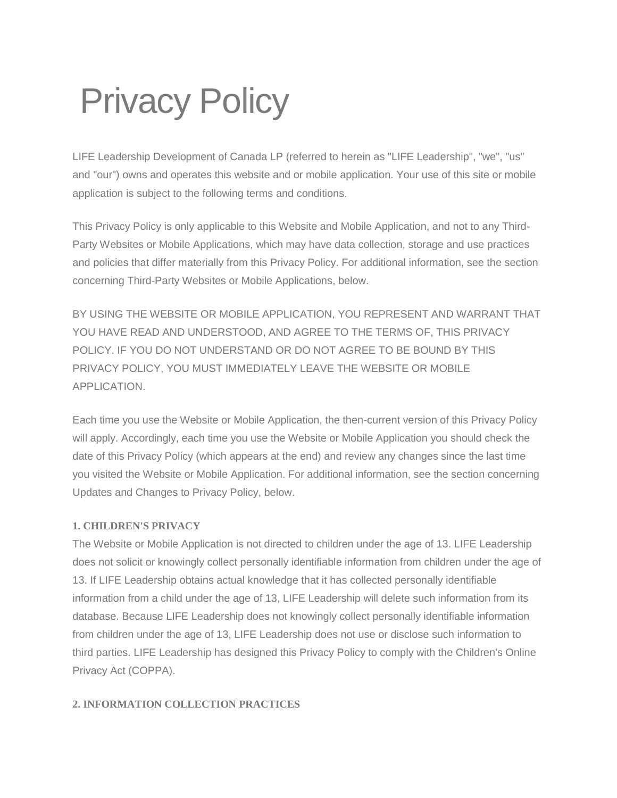# Privacy Policy

LIFE Leadership Development of Canada LP (referred to herein as "LIFE Leadership", "we", "us" and "our") owns and operates this website and or mobile application. Your use of this site or mobile application is subject to the following terms and conditions.

This Privacy Policy is only applicable to this Website and Mobile Application, and not to any Third-Party Websites or Mobile Applications, which may have data collection, storage and use practices and policies that differ materially from this Privacy Policy. For additional information, see the section concerning Third-Party Websites or Mobile Applications, below.

BY USING THE WEBSITE OR MOBILE APPLICATION, YOU REPRESENT AND WARRANT THAT YOU HAVE READ AND UNDERSTOOD, AND AGREE TO THE TERMS OF, THIS PRIVACY POLICY. IF YOU DO NOT UNDERSTAND OR DO NOT AGREE TO BE BOUND BY THIS PRIVACY POLICY, YOU MUST IMMEDIATELY LEAVE THE WEBSITE OR MOBILE APPLICATION.

Each time you use the Website or Mobile Application, the then-current version of this Privacy Policy will apply. Accordingly, each time you use the Website or Mobile Application you should check the date of this Privacy Policy (which appears at the end) and review any changes since the last time you visited the Website or Mobile Application. For additional information, see the section concerning Updates and Changes to Privacy Policy, below.

# **1. CHILDREN'S PRIVACY**

The Website or Mobile Application is not directed to children under the age of 13. LIFE Leadership does not solicit or knowingly collect personally identifiable information from children under the age of 13. If LIFE Leadership obtains actual knowledge that it has collected personally identifiable information from a child under the age of 13, LIFE Leadership will delete such information from its database. Because LIFE Leadership does not knowingly collect personally identifiable information from children under the age of 13, LIFE Leadership does not use or disclose such information to third parties. LIFE Leadership has designed this Privacy Policy to comply with the Children's Online Privacy Act (COPPA).

#### **2. INFORMATION COLLECTION PRACTICES**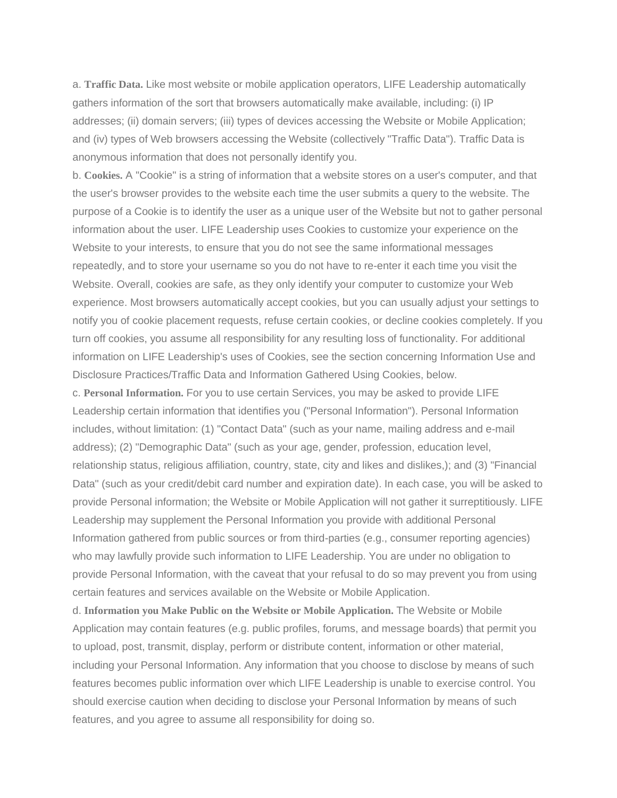a. **Traffic Data.** Like most website or mobile application operators, LIFE Leadership automatically gathers information of the sort that browsers automatically make available, including: (i) IP addresses; (ii) domain servers; (iii) types of devices accessing the Website or Mobile Application; and (iv) types of Web browsers accessing the Website (collectively "Traffic Data"). Traffic Data is anonymous information that does not personally identify you.

b. **Cookies.** A "Cookie" is a string of information that a website stores on a user's computer, and that the user's browser provides to the website each time the user submits a query to the website. The purpose of a Cookie is to identify the user as a unique user of the Website but not to gather personal information about the user. LIFE Leadership uses Cookies to customize your experience on the Website to your interests, to ensure that you do not see the same informational messages repeatedly, and to store your username so you do not have to re-enter it each time you visit the Website. Overall, cookies are safe, as they only identify your computer to customize your Web experience. Most browsers automatically accept cookies, but you can usually adjust your settings to notify you of cookie placement requests, refuse certain cookies, or decline cookies completely. If you turn off cookies, you assume all responsibility for any resulting loss of functionality. For additional information on LIFE Leadership's uses of Cookies, see the section concerning Information Use and Disclosure Practices/Traffic Data and Information Gathered Using Cookies, below.

c. **Personal Information.** For you to use certain Services, you may be asked to provide LIFE Leadership certain information that identifies you ("Personal Information"). Personal Information includes, without limitation: (1) "Contact Data" (such as your name, mailing address and e-mail address); (2) "Demographic Data" (such as your age, gender, profession, education level, relationship status, religious affiliation, country, state, city and likes and dislikes,); and (3) "Financial Data" (such as your credit/debit card number and expiration date). In each case, you will be asked to provide Personal information; the Website or Mobile Application will not gather it surreptitiously. LIFE Leadership may supplement the Personal Information you provide with additional Personal Information gathered from public sources or from third-parties (e.g., consumer reporting agencies) who may lawfully provide such information to LIFE Leadership. You are under no obligation to provide Personal Information, with the caveat that your refusal to do so may prevent you from using certain features and services available on the Website or Mobile Application.

d. **Information you Make Public on the Website or Mobile Application.** The Website or Mobile Application may contain features (e.g. public profiles, forums, and message boards) that permit you to upload, post, transmit, display, perform or distribute content, information or other material, including your Personal Information. Any information that you choose to disclose by means of such features becomes public information over which LIFE Leadership is unable to exercise control. You should exercise caution when deciding to disclose your Personal Information by means of such features, and you agree to assume all responsibility for doing so.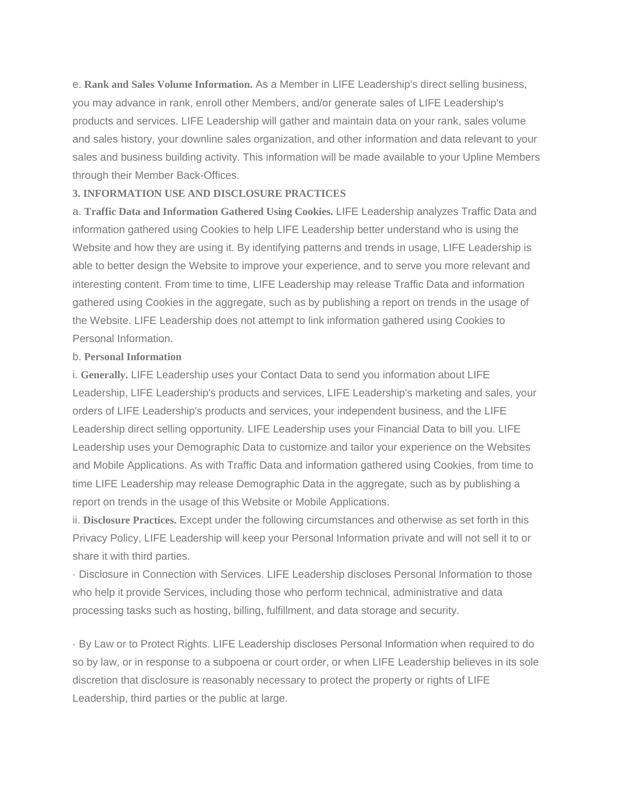e. **Rank and Sales Volume Information.** As a Member in LIFE Leadership's direct selling business, you may advance in rank, enroll other Members, and/or generate sales of LIFE Leadership's products and services. LIFE Leadership will gather and maintain data on your rank, sales volume and sales history, your downline sales organization, and other information and data relevant to your sales and business building activity. This information will be made available to your Upline Members through their Member Back-Offices.

#### **3. INFORMATION USE AND DISCLOSURE PRACTICES**

a. **Traffic Data and Information Gathered Using Cookies.** LIFE Leadership analyzes Traffic Data and information gathered using Cookies to help LIFE Leadership better understand who is using the Website and how they are using it. By identifying patterns and trends in usage, LIFE Leadership is able to better design the Website to improve your experience, and to serve you more relevant and interesting content. From time to time, LIFE Leadership may release Traffic Data and information gathered using Cookies in the aggregate, such as by publishing a report on trends in the usage of the Website. LIFE Leadership does not attempt to link information gathered using Cookies to Personal Information.

#### b. **Personal Information**

i. **Generally.** LIFE Leadership uses your Contact Data to send you information about LIFE Leadership, LIFE Leadership's products and services, LIFE Leadership's marketing and sales, your orders of LIFE Leadership's products and services, your independent business, and the LIFE Leadership direct selling opportunity. LIFE Leadership uses your Financial Data to bill you. LIFE Leadership uses your Demographic Data to customize and tailor your experience on the Websites and Mobile Applications. As with Traffic Data and information gathered using Cookies, from time to time LIFE Leadership may release Demographic Data in the aggregate, such as by publishing a report on trends in the usage of this Website or Mobile Applications.

ii. **Disclosure Practices.** Except under the following circumstances and otherwise as set forth in this Privacy Policy, LIFE Leadership will keep your Personal Information private and will not sell it to or share it with third parties.

· Disclosure in Connection with Services. LIFE Leadership discloses Personal Information to those who help it provide Services, including those who perform technical, administrative and data processing tasks such as hosting, billing, fulfillment, and data storage and security.

· By Law or to Protect Rights. LIFE Leadership discloses Personal Information when required to do so by law, or in response to a subpoena or court order, or when LIFE Leadership believes in its sole discretion that disclosure is reasonably necessary to protect the property or rights of LIFE Leadership, third parties or the public at large.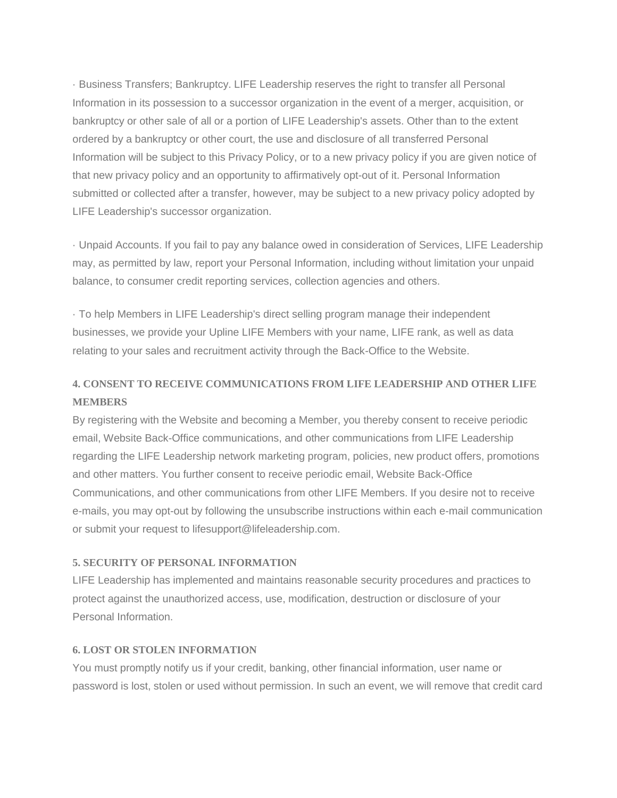· Business Transfers; Bankruptcy. LIFE Leadership reserves the right to transfer all Personal Information in its possession to a successor organization in the event of a merger, acquisition, or bankruptcy or other sale of all or a portion of LIFE Leadership's assets. Other than to the extent ordered by a bankruptcy or other court, the use and disclosure of all transferred Personal Information will be subject to this Privacy Policy, or to a new privacy policy if you are given notice of that new privacy policy and an opportunity to affirmatively opt-out of it. Personal Information submitted or collected after a transfer, however, may be subject to a new privacy policy adopted by LIFE Leadership's successor organization.

· Unpaid Accounts. If you fail to pay any balance owed in consideration of Services, LIFE Leadership may, as permitted by law, report your Personal Information, including without limitation your unpaid balance, to consumer credit reporting services, collection agencies and others.

· To help Members in LIFE Leadership's direct selling program manage their independent businesses, we provide your Upline LIFE Members with your name, LIFE rank, as well as data relating to your sales and recruitment activity through the Back-Office to the Website.

# **4. CONSENT TO RECEIVE COMMUNICATIONS FROM LIFE LEADERSHIP AND OTHER LIFE MEMBERS**

By registering with the Website and becoming a Member, you thereby consent to receive periodic email, Website Back-Office communications, and other communications from LIFE Leadership regarding the LIFE Leadership network marketing program, policies, new product offers, promotions and other matters. You further consent to receive periodic email, Website Back-Office Communications, and other communications from other LIFE Members. If you desire not to receive e-mails, you may opt-out by following the unsubscribe instructions within each e-mail communication or submit your request to lifesupport@lifeleadership.com.

#### **5. SECURITY OF PERSONAL INFORMATION**

LIFE Leadership has implemented and maintains reasonable security procedures and practices to protect against the unauthorized access, use, modification, destruction or disclosure of your Personal Information.

#### **6. LOST OR STOLEN INFORMATION**

You must promptly notify us if your credit, banking, other financial information, user name or password is lost, stolen or used without permission. In such an event, we will remove that credit card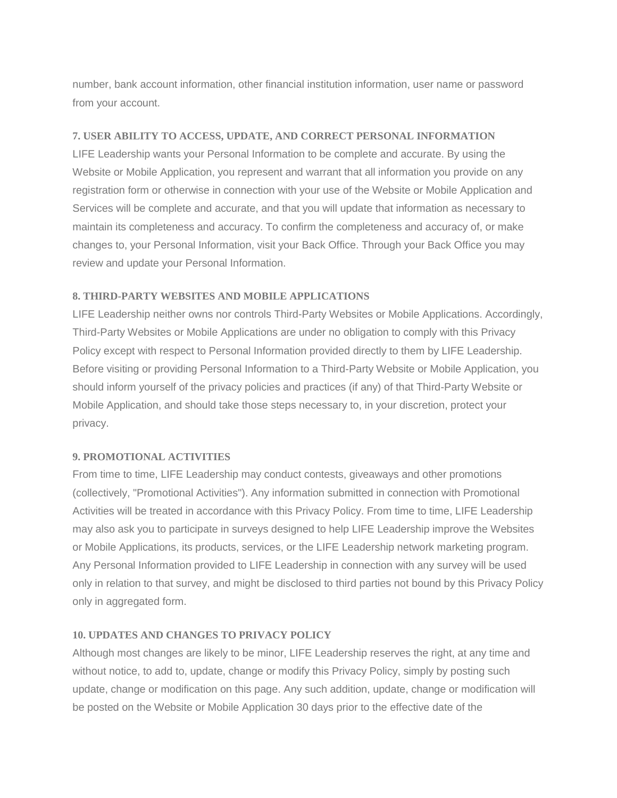number, bank account information, other financial institution information, user name or password from your account.

#### **7. USER ABILITY TO ACCESS, UPDATE, AND CORRECT PERSONAL INFORMATION**

LIFE Leadership wants your Personal Information to be complete and accurate. By using the Website or Mobile Application, you represent and warrant that all information you provide on any registration form or otherwise in connection with your use of the Website or Mobile Application and Services will be complete and accurate, and that you will update that information as necessary to maintain its completeness and accuracy. To confirm the completeness and accuracy of, or make changes to, your Personal Information, visit your Back Office. Through your Back Office you may review and update your Personal Information.

### **8. THIRD-PARTY WEBSITES AND MOBILE APPLICATIONS**

LIFE Leadership neither owns nor controls Third-Party Websites or Mobile Applications. Accordingly, Third-Party Websites or Mobile Applications are under no obligation to comply with this Privacy Policy except with respect to Personal Information provided directly to them by LIFE Leadership. Before visiting or providing Personal Information to a Third-Party Website or Mobile Application, you should inform yourself of the privacy policies and practices (if any) of that Third-Party Website or Mobile Application, and should take those steps necessary to, in your discretion, protect your privacy.

#### **9. PROMOTIONAL ACTIVITIES**

From time to time, LIFE Leadership may conduct contests, giveaways and other promotions (collectively, "Promotional Activities"). Any information submitted in connection with Promotional Activities will be treated in accordance with this Privacy Policy. From time to time, LIFE Leadership may also ask you to participate in surveys designed to help LIFE Leadership improve the Websites or Mobile Applications, its products, services, or the LIFE Leadership network marketing program. Any Personal Information provided to LIFE Leadership in connection with any survey will be used only in relation to that survey, and might be disclosed to third parties not bound by this Privacy Policy only in aggregated form.

# **10. UPDATES AND CHANGES TO PRIVACY POLICY**

Although most changes are likely to be minor, LIFE Leadership reserves the right, at any time and without notice, to add to, update, change or modify this Privacy Policy, simply by posting such update, change or modification on this page. Any such addition, update, change or modification will be posted on the Website or Mobile Application 30 days prior to the effective date of the